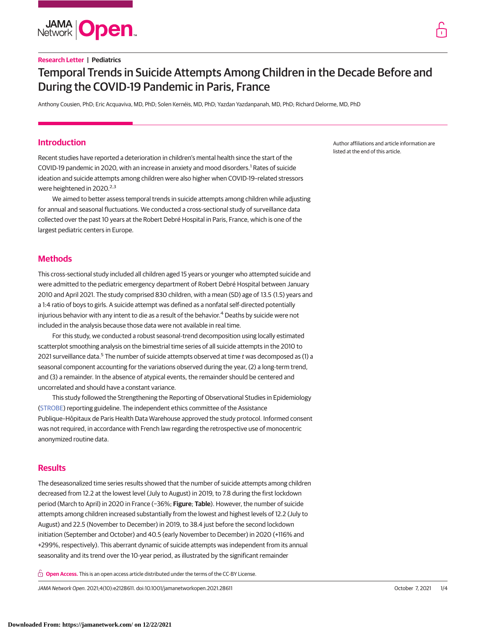

## **Research Letter | Pediatrics**

# Temporal Trends in Suicide Attempts Among Children in the Decade Before and During the COVID-19 Pandemic in Paris, France

Anthony Cousien, PhD; Eric Acquaviva, MD, PhD; Solen Kernéis, MD, PhD; Yazdan Yazdanpanah, MD, PhD; Richard Delorme, MD, PhD

# **Introduction**

Recent studies have reported a deterioration in children's mental health since the start of the COVID-19 pandemic in 2020, with an increase in anxiety and mood disorders.<sup>1</sup> Rates of suicide ideation and suicide attempts among children were also higher when COVID-19–related stressors were heightened in 2020. $2,3$ 

We aimed to better assess temporal trends in suicide attempts among children while adjusting for annual and seasonal fluctuations. We conducted a cross-sectional study of surveillance data collected over the past 10 years at the Robert Debré Hospital in Paris, France, which is one of the largest pediatric centers in Europe.

# **Methods**

This cross-sectional study included all children aged 15 years or younger who attempted suicide and were admitted to the pediatric emergency department of Robert Debré Hospital between January 2010 and April 2021. The study comprised 830 children, with a mean (SD) age of 13.5 (1.5) years and a 1:4 ratio of boys to girls. A suicide attempt was defined as a nonfatal self-directed potentially injurious behavior with any intent to die as a result of the behavior.<sup>4</sup> Deaths by suicide were not included in the analysis because those data were not available in real time.

For this study, we conducted a robust seasonal-trend decomposition using locally estimated scatterplot smoothing analysis on the bimestrial time series of all suicide attempts in the 2010 to 2021 surveillance data.<sup>5</sup> The number of suicide attempts observed at time  $t$  was decomposed as (1) a seasonal component accounting for the variations observed during the year, (2) a long-term trend, and (3) a remainder. In the absence of atypical events, the remainder should be centered and uncorrelated and should have a constant variance.

This study followed the Strengthening the Reporting of Observational Studies in Epidemiology [\(STROBE\)](https://www.equator-network.org/reporting-guidelines/strobe/) reporting guideline. The independent ethics committee of the Assistance Publique–Hôpitaux de Paris Health Data Warehouse approved the study protocol. Informed consent was not required, in accordance with French law regarding the retrospective use of monocentric anonymized routine data.

# **Results**

The deseasonalized time series results showed that the number of suicide attempts among children decreased from 12.2 at the lowest level (July to August) in 2019, to 7.8 during the first lockdown period (March to April) in 2020 in France (−36%; **Figure**; **Table**). However, the number of suicide attempts among children increased substantially from the lowest and highest levels of 12.2 (July to August) and 22.5 (November to December) in 2019, to 38.4 just before the second lockdown initiation (September and October) and 40.5 (early November to December) in 2020 (+116% and +299%, respectively). This aberrant dynamic of suicide attempts was independent from its annual seasonality and its trend over the 10-year period, as illustrated by the significant remainder

**Open Access.** This is an open access article distributed under the terms of the CC-BY License.

JAMA Network Open. 2021;4(10):e2128611. doi:10.1001/jamanetworkopen.2021.28611 (Reprinted) October 7, 2021 1/4

Author affiliations and article information are listed at the end of this article.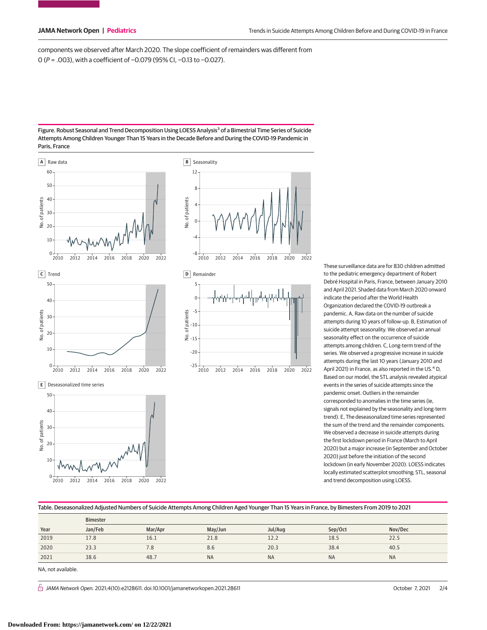components we observed after March 2020. The slope coefficient of remainders was different from 0 (P = .003), with a coefficient of −0.079 (95% CI, −0.13 to −0.027).

#### Figure. Robust Seasonal and Trend Decomposition Using LOESS Analysis<sup>3</sup> of a Bimestrial Time Series of Suicide Attempts Among Children Younger Than 15 Years in the Decade Before and During the COVID-19 Pandemic in Paris, France



2010 2012 2014 2016 2018 2020 2022

These surveillance data are for 830 children admitted to the pediatric emergency department of Robert Debré Hospital in Paris, France, between January 2010 and April 2021. Shaded data from March 2020 onward indicate the period after the World Health Organization declared the COVID-19 outbreak a pandemic. A, Raw data on the number of suicide attempts during 10 years of follow-up. B, Estimation of suicide attempt seasonality. We observed an annual seasonality effect on the occurrence of suicide attempts among children. C, Long-term trend of the series. We observed a progressive increase in suicide attempts during the last 10 years (January 2010 and April 2021) in France, as also reported in the US.<sup>4</sup> D, Based on our model, the STL analysis revealed atypical events in the series of suicide attempts since the pandemic onset. Outliers in the remainder corresponded to anomalies in the time series (ie, signals not explained by the seasonality and long-term trend). E, The deseasonalized time series represented the sum of the trend and the remainder components. We observed a decrease in suicide attempts during the first lockdown period in France (March to April 2020) but a major increase (in September and October 2020) just before the initiation of the second lockdown (in early November 2020). LOESS indicates locally estimated scatterplot smoothing; STL, seasonal and trend decomposition using LOESS.

### Table. Deseasonalized Adjusted Numbers of Suicide Attempts Among Children Aged Younger Than 15 Years in France, by Bimesters From 2019 to 2021

|      | <b>Bimester</b> |         |           |           |           |           |
|------|-----------------|---------|-----------|-----------|-----------|-----------|
| Year | Jan/Feb         | Mar/Apr | May/Jun   | Jul/Aug   | Sep/Oct   | Nov/Dec   |
| 2019 | 17.8            | 16.1    | 21.8      | 12.2      | 18.5      | 22.5      |
| 2020 | 23.3            | 7.8     | 8.6       | 20.3      | 38.4      | 40.5      |
| 2021 | 38.6            | 48.7    | <b>NA</b> | <b>NA</b> | <b>NA</b> | <b>NA</b> |

NA, not available.

 $\bigcap$  JAMA Network Open. 2021;4(10):e2128611. doi:10.1001/jamanetworkopen.2021.28611 (Reprinted) October 7, 2021 2/4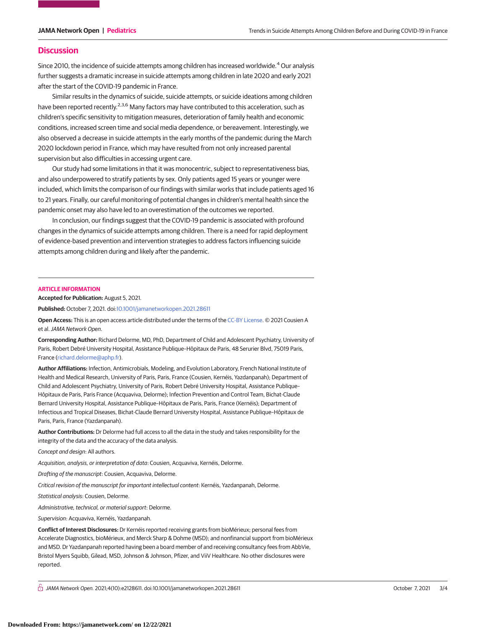# **Discussion**

Since 2010, the incidence of suicide attempts among children has increased worldwide.<sup>4</sup> Our analysis further suggests a dramatic increase in suicide attempts among children in late 2020 and early 2021 after the start of the COVID-19 pandemic in France.

Similar results in the dynamics of suicide, suicide attempts, or suicide ideations among children have been reported recently.<sup>2,3,6</sup> Many factors may have contributed to this acceleration, such as children's specific sensitivity to mitigation measures, deterioration of family health and economic conditions, increased screen time and social media dependence, or bereavement. Interestingly, we also observed a decrease in suicide attempts in the early months of the pandemic during the March 2020 lockdown period in France, which may have resulted from not only increased parental supervision but also difficulties in accessing urgent care.

Our study had some limitations in that it was monocentric, subject to representativeness bias, and also underpowered to stratify patients by sex. Only patients aged 15 years or younger were included, which limits the comparison of our findings with similar works that include patients aged 16 to 21 years. Finally, our careful monitoring of potential changes in children's mental health since the pandemic onset may also have led to an overestimation of the outcomes we reported.

In conclusion, our findings suggest that the COVID-19 pandemic is associated with profound changes in the dynamics of suicide attempts among children. There is a need for rapid deployment of evidence-based prevention and intervention strategies to address factors influencing suicide attempts among children during and likely after the pandemic.

#### **ARTICLE INFORMATION**

**Accepted for Publication:** August 5, 2021.

**Published:** October 7, 2021. doi[:10.1001/jamanetworkopen.2021.28611](https://jama.jamanetwork.com/article.aspx?doi=10.1001/jamanetworkopen.2021.28611&utm_campaign=articlePDF%26utm_medium=articlePDFlink%26utm_source=articlePDF%26utm_content=jamanetworkopen.2021.28611)

**Open Access:** This is an open access article distributed under the terms of the [CC-BY License.](https://jamanetwork.com/pages/cc-by-license-permissions/?utm_campaign=articlePDF%26utm_medium=articlePDFlink%26utm_source=articlePDF%26utm_content=jamanetworkopen.2021.28611) © 2021 Cousien A et al.JAMA Network Open.

**Corresponding Author:** Richard Delorme, MD, PhD, Department of Child and Adolescent Psychiatry, University of Paris, Robert Debré University Hospital, Assistance Publique–Hôpitaux de Paris, 48 Serurier Blvd, 75019 Paris, France [\(richard.delorme@aphp.fr\)](mailto:richard.delorme@aphp.fr).

**Author Affiliations:** Infection, Antimicrobials, Modeling, and Evolution Laboratory, French National Institute of Health and Medical Research, University of Paris, Paris, France (Cousien, Kernéis, Yazdanpanah); Department of Child and Adolescent Psychiatry, University of Paris, Robert Debré University Hospital, Assistance Publique– Hôpitaux de Paris, Paris France (Acquaviva, Delorme); Infection Prevention and Control Team, Bichat-Claude Bernard University Hospital, Assistance Publique–Hôpitaux de Paris, Paris, France (Kernéis); Department of Infectious and Tropical Diseases, Bichat-Claude Bernard University Hospital, Assistance Publique–Hôpitaux de Paris, Paris, France (Yazdanpanah).

**Author Contributions:** Dr Delorme had full access to all the data in the study and takes responsibility for the integrity of the data and the accuracy of the data analysis.

Concept and design: All authors.

Acquisition, analysis, or interpretation of data: Cousien, Acquaviva, Kernéis, Delorme.

Drafting of the manuscript: Cousien, Acquaviva, Delorme.

Critical revision of the manuscript for important intellectual content: Kernéis, Yazdanpanah, Delorme.

Statistical analysis: Cousien, Delorme.

Administrative, technical, or material support: Delorme.

Supervision: Acquaviva, Kernéis, Yazdanpanah.

**Conflict of Interest Disclosures:** Dr Kernéis reported receiving grants from bioMérieux; personal fees from Accelerate Diagnostics, bioMérieux, and Merck Sharp & Dohme (MSD); and nonfinancial support from bioMérieux and MSD. Dr Yazdanpanah reported having been a board member of and receiving consultancy fees from AbbVie, Bristol Myers Squibb, Gilead, MSD, Johnson & Johnson, Pfizer, and ViiV Healthcare. No other disclosures were reported.

 $\bigcap$  JAMA Network Open. 2021;4(10):e2128611. doi:10.1001/jamanetworkopen.2021.28611 (Reprinted) October 7, 2021 3/4